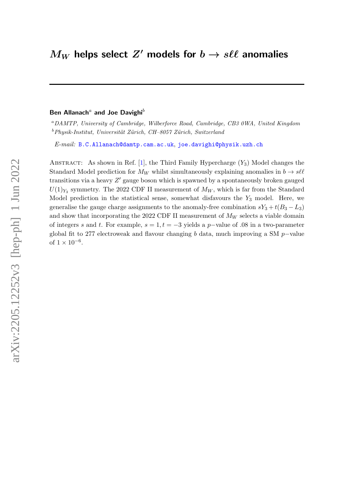## Ben Allanach<sup>a</sup> and Joe Davighi<sup>b</sup>

<sup>a</sup>DAMTP, University of Cambridge, Wilberforce Road, Cambridge, CB3 0WA, United Kingdom  $b$ Physik-Institut, Universität Zürich, CH–8057 Zürich, Switzerland

E-mail: [B.C.Allanach@damtp.cam.ac.uk](mailto:B.C.Allanach@damtp.cam.ac.uk), [joe.davighi@physik.uzh.ch](mailto:joe.davighi@physik.uzh.ch)

ABSTRACT: As shown in Ref. [\[1\]](#page-16-0), the Third Family Hypercharge  $(Y_3)$  Model changes the Standard Model prediction for  $M_W$  whilst simultaneously explaining anomalies in  $b \to s\ell\ell$ transitions via a heavy  $Z'$  gauge boson which is spawned by a spontaneously broken gauged  $U(1)_{Y_3}$  symmetry. The 2022 CDF II measurement of  $M_W$ , which is far from the Standard Model prediction in the statistical sense, somewhat disfavours the  $Y_3$  model. Here, we generalise the gauge charge assignments to the anomaly-free combination  $sY_3 + t(B_3 - L_3)$ and show that incorporating the 2022 CDF II measurement of  $M_W$  selects a viable domain of integers s and t. For example,  $s = 1, t = -3$  yields a p-value of .08 in a two-parameter global fit to 277 electroweak and flavour changing b data, much improving a SM p-value of  $1 \times 10^{-6}$ .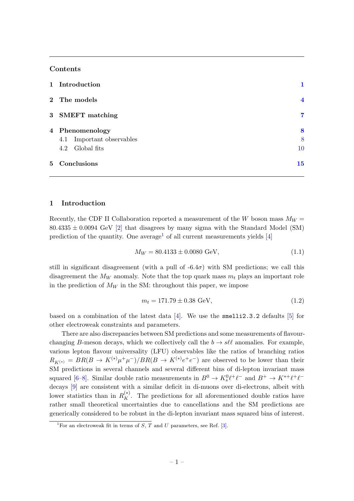# Contents

| 5 Conclusions                | 15             |
|------------------------------|----------------|
| Global fits<br>4.2           | 10             |
| Important observables<br>4.1 | 8              |
| 4 Phenomenology              | 8              |
| 3 SMEFT matching             | 7              |
| 2 The models                 | $\overline{4}$ |
| 1 Introduction               |                |

#### <span id="page-1-0"></span>1 Introduction

Recently, the CDF II Collaboration reported a measurement of the W boson mass  $M_W =$  $80.4335 \pm 0.0094$  GeV [\[2\]](#page-16-1) that disagrees by many sigma with the Standard Model (SM) prediction of the quantity. One average<sup>[1](#page-1-1)</sup> of all current measurements yields  $[4]$ 

<span id="page-1-2"></span>
$$
M_W = 80.4133 \pm 0.0080 \text{ GeV},\tag{1.1}
$$

still in significant disagreement (with a pull of  $-6.4\sigma$ ) with SM predictions; we call this disagreement the  $M_W$  anomaly. Note that the top quark mass  $m_t$  plays an important role in the prediction of  $M_W$  in the SM: throughout this paper, we impose

<span id="page-1-3"></span>
$$
m_t = 171.79 \pm 0.38 \text{ GeV},\tag{1.2}
$$

based on a combination of the latest data  $[4]$ . We use the smelli2.3.2 defaults  $[5]$  for other electroweak constraints and parameters.

There are also discrepancies between SM predictions and some measurements of flavourchanging B-meson decays, which we collectively call the  $b \to s\ell\ell$  anomalies. For example, various lepton flavour universality (LFU) observables like the ratios of branching ratios  $R_{K^{(*)}} = BR(B \to K^{(*)} \mu^+ \mu^-)/BR(B \to K^{(*)} e^+ e^-)$  are observed to be lower than their SM predictions in several channels and several different bins of di-lepton invariant mass squared [\[6](#page-16-4)[–8\]](#page-16-5). Similar double ratio measurements in  $B^0 \to K_s^0 \ell^+ \ell^-$  and  $B^+ \to K^{*+} \ell^+ \ell^$ decays [\[9\]](#page-16-6) are consistent with a similar deficit in di-muons over di-electrons, albeit with lower statistics than in  $R_K^{(*)}$ . The predictions for all aforementioned double ratios have rather small theoretical uncertainties due to cancellations and the SM predictions are generically considered to be robust in the di-lepton invariant mass squared bins of interest.

<span id="page-1-1"></span><sup>&</sup>lt;sup>1</sup>For an electroweak fit in terms of S, T and U parameters, see Ref. [\[3\]](#page-16-7).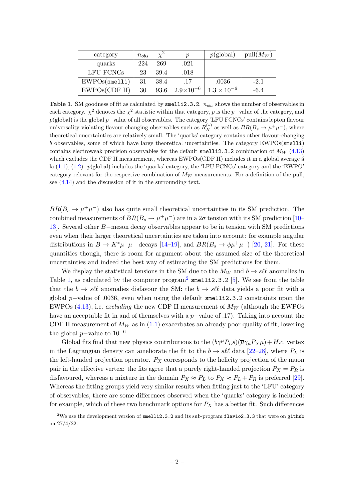<span id="page-2-0"></span>

| category      | $n_{obs}$ | $\chi^2$ | n                  | $p(\text{global})$   | $pull(M_W)$ |
|---------------|-----------|----------|--------------------|----------------------|-------------|
| quarks        | 224       | 269      | .021               |                      |             |
| LFU FCNCs     | 23        | 39.4     | .018               |                      |             |
| EWPOS(smel1i) | 31        | 38.4     | .17                | .0036                | $-2.1$      |
| EWPOs(CDF II) | 30        | 93.6     | $2.9\times10^{-6}$ | $1.3 \times 10^{-6}$ | $-6.4$      |

Table 1. SM goodness of fit as calculated by smelli2.3.2.  $n_{obs}$  shows the number of observables in each category.  $\chi^2$  denotes the  $\chi^2$  statistic within that category, p is the p–value of the category, and p(global) is the global p−value of all observables. The category 'LFU FCNCs' contains lepton flavour universality violating flavour changing observables such as  $R_K^{(*)}$  as well as  $BR(B_s \to \mu^+ \mu^-)$ , where theoretical uncertainties are relatively small. The 'quarks' category contains other flavour-changing b observables, some of which have large theoretical uncertainties. The category EWPOs(smelli) contains electroweak precision observables for the default smelli2.3.2 combination of  $M_W$  [\(4.13\)](#page-12-0) which excludes the CDF II measurement, whereas  $EWPos(CDF II)$  includes it in a global average  $\acute{a}$ la  $(1.1)$ ,  $(1.2)$ .  $p(\text{global})$  includes the 'quarks' category, the 'LFU FCNCs' category and the 'EWPO' category relevant for the respective combination of  $M_W$  measurements. For a definition of the pull, see [\(4.14\)](#page-12-1) and the discussion of it in the surrounding text.

 $BR(B_s \to \mu^+ \mu^-)$  also has quite small theoretical uncertainties in its SM prediction. The combined measurements of  $BR(B_s \to \mu^+ \mu^-)$  are in a  $2\sigma$  tension with its SM prediction [\[10–](#page-16-8) [13\]](#page-16-9). Several other B−meson decay observables appear to be in tension with SM predictions even when their larger theoretical uncertainties are taken into account: for example angular distributions in  $B \to K^* \mu^+ \mu^-$  decays [\[14–](#page-16-10)[19\]](#page-17-0), and  $BR(B_s \to \phi \mu^+ \mu^-)$  [\[20,](#page-17-1) [21\]](#page-17-2). For these quantities though, there is room for argument about the assumed size of the theoretical uncertainties and indeed the best way of estimating the SM predictions for them.

We display the statistical tensions in the SM due to the  $M_W$  and  $b \to s\ell\ell$  anomalies in Table [1,](#page-2-0) as calculated by the computer  $\text{program}^2$  $\text{program}^2$  smelli2.3.2 [\[5\]](#page-16-3). We see from the table that the  $b \to s\ell\ell$  anomalies disfavour the SM: the  $b \to s\ell\ell$  data yields a poor fit with a global p–value of .0036, even when using the default smelli2.3.2 constraints upon the EWPOs  $(4.13)$ , i.e. *excluding* the new CDF II measurement of  $M_W$  (although the EWPOs have an acceptable fit in and of themselves with a  $p$ –value of .17). Taking into account the CDF II measurement of  $M_W$  as in [\(1.1\)](#page-1-2) exacerbates an already poor quality of fit, lowering the global  $p$ -value to  $10^{-6}$ .

Global fits find that new physics contributions to the  $(\bar{b}\gamma^{\mu}P_{L}s)(\bar{\mu}\gamma_{\mu}P_{X}\mu)+H.c.$  vertex in the Lagrangian density can ameliorate the fit to the  $b \to s\ell\ell$  data [\[22](#page-17-3)[–28\]](#page-17-4), where  $P<sub>L</sub>$  is the left-handed projection operator.  $P_X$  corresponds to the helicity projection of the muon pair in the effective vertex: the fits agree that a purely right-handed projection  $P_X = P_R$  is disfavoured, whereas a mixture in the domain  $P_X \approx P_L$  to  $P_X \approx P_L + P_R$  is preferred [\[29\]](#page-17-5). Whereas the fitting groups yield very similar results when fitting just to the 'LFU' category of observables, there are some differences observed when the 'quarks' category is included: for example, which of these two benchmark options for  $P_X$  has a better fit. Such differences

<span id="page-2-1"></span><sup>&</sup>lt;sup>2</sup>We use the development version of smelli2.3.2 and its sub-program flavio2.3.3 that were on github on 27/4/22.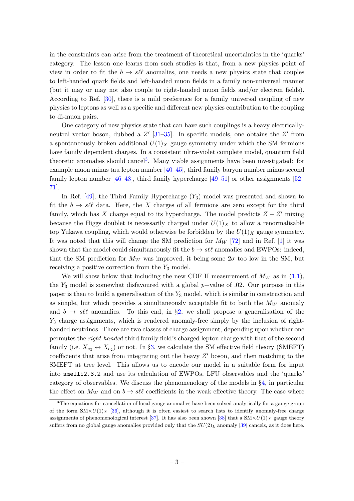in the constraints can arise from the treatment of theoretical uncertainties in the 'quarks' category. The lesson one learns from such studies is that, from a new physics point of view in order to fit the  $b \to s\ell\ell$  anomalies, one needs a new physics state that couples to left-handed quark fields and left-handed muon fields in a family non-universal manner (but it may or may not also couple to right-handed muon fields and/or electron fields). According to Ref. [\[30\]](#page-17-6), there is a mild preference for a family universal coupling of new physics to leptons as well as a specific and different new physics contribution to the coupling to di-muon pairs.

One category of new physics state that can have such couplings is a heavy electricallyneutral vector boson, dubbed a  $Z'$  [\[31](#page-17-7)[–35\]](#page-18-0). In specific models, one obtains the  $Z'$  from a spontaneously broken additional  $U(1)_X$  gauge symmetry under which the SM fermions have family dependent charges. In a consistent ultra-violet complete model, quantum field theoretic anomalies should cancel<sup>[3](#page-3-0)</sup>. Many viable assignments have been investigated: for example muon minus tau lepton number [\[40–](#page-18-1)[45\]](#page-18-2), third family baryon number minus second family lepton number  $[46-48]$  $[46-48]$ , third family hypercharge  $[49-51]$  $[49-51]$  or other assignments  $[52-$ [71\]](#page-19-0).

In Ref.  $[49]$ , the Third Family Hypercharge  $(Y_3)$  model was presented and shown to fit the  $b \to s\ell\ell$  data. Here, the X charges of all fermions are zero except for the third family, which has X charge equal to its hypercharge. The model predicts  $Z - Z'$  mixing because the Higgs doublet is necessarily charged under  $U(1)_X$  to allow a renormalisable top Yukawa coupling, which would otherwise be forbidden by the  $U(1)_X$  gauge symmetry. It was noted that this will change the SM prediction for  $M_W$  [\[72\]](#page-19-1) and in Ref. [\[1\]](#page-16-0) it was shown that the model could simultaneously fit the  $b \to s\ell\ell$  anomalies and EWPOs: indeed, that the SM prediction for  $M_W$  was improved, it being some  $2\sigma$  too low in the SM, but receiving a positive correction from the  $Y_3$  model.

We will show below that including the new CDF II measurement of  $M_W$  as in [\(1.1\)](#page-1-2), the  $Y_3$  model is somewhat disfavoured with a global p-value of .02. Our purpose in this paper is then to build a generalisation of the  $Y_3$  model, which is similar in construction and as simple, but which provides a simultaneously acceptable fit to both the  $M_W$  anomaly and  $b \to s\ell\ell$  anomalies. To this end, in §[2,](#page-4-0) we shall propose a generalisation of the Y<sup>3</sup> charge assignments, which is rendered anomaly-free simply by the inclusion of righthanded neutrinos. There are two classes of charge assignment, depending upon whether one permutes the right-handed third family field's charged lepton charge with that of the second family (i.e.  $X_{e_3} \leftrightarrow X_{e_2}$ ) or not. In §[3,](#page-7-0) we calculate the SM effective field theory (SMEFT) coefficients that arise from integrating out the heavy  $Z'$  boson, and then matching to the SMEFT at tree level. This allows us to encode our model in a suitable form for input into smelli2.3.2 and use its calculation of EWPOs, LFU observables and the 'quarks' category of observables. We discuss the phenomenology of the models in §[4,](#page-8-0) in particular the effect on  $M_W$  and on  $b \to s\ell\ell$  coefficients in the weak effective theory. The case where

<span id="page-3-0"></span><sup>&</sup>lt;sup>3</sup>The equations for cancellation of local gauge anomalies have been solved analytically for a gauge group of the form  $\text{SM} \times U(1)_X$  [\[36\]](#page-18-8), although it is often easiest to search lists to identify anomaly-free charge assignments of phenomenological interest [\[37\]](#page-18-9). It has also been shown [\[38\]](#page-18-10) that a  $\text{SM} \times U(1)_X$  gauge theory suffers from no global gauge anomalies provided only that the  $SU(2)_L$  anomaly [\[39\]](#page-18-11) cancels, as it does here.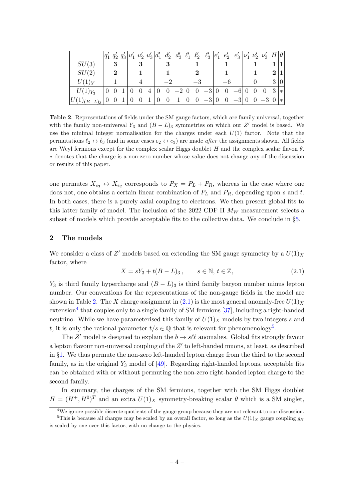<span id="page-4-1"></span>

|                        | $q'_1$ |          |  |   |   | $q'_2 q'_3   u'_1 u'_2 u'_3   d'_1 d'_2$ | $d'_3\,\big \ell'_1\big $ |                | $\ell_2'$ | $-\ell'_3\, \big  e'_1\;\; e'_2\;\; e'_3\ \big  \nu'_1\,\,\nu'_2\;\;\nu'_3\ \big  H \big  \theta \big $ |                |          |                         |                |                             |                 |
|------------------------|--------|----------|--|---|---|------------------------------------------|---------------------------|----------------|-----------|---------------------------------------------------------------------------------------------------------|----------------|----------|-------------------------|----------------|-----------------------------|-----------------|
| SU(3)                  |        | 3        |  | 3 |   |                                          |                           |                |           |                                                                                                         |                |          |                         |                |                             | $1\vert$        |
| SU(2)                  |        | $\bf{2}$ |  |   |   |                                          |                           |                |           |                                                                                                         |                |          |                         |                | $\mathcal{D}_{\mathcal{L}}$ | $1\vert$        |
| $U(1)_Y$               |        |          |  |   |   |                                          |                           |                |           |                                                                                                         |                |          |                         |                | 3                           | $\vert 0 \vert$ |
| $U(1)_{Y_3}$           |        |          |  |   | 4 | $\overline{0}$                           | $-2$                      | $\overline{0}$ |           | $\begin{bmatrix} 0 & -3 \end{bmatrix}$                                                                  | $\overline{0}$ | $0 -6 0$ | $\overline{\mathbf{0}}$ | $\overline{0}$ | 3                           | $*$             |
| U<br>$(1)_{(B-L)_{3}}$ |        |          |  |   |   | $\overline{0}$                           | $\mathbf{1}$              | $\overline{0}$ |           | $0 -3 0 0 -3 0 0 -3 0$                                                                                  |                |          |                         |                |                             | $\ast$          |

Table 2. Representations of fields under the SM gauge factors, which are family universal, together with the family non-universal  $Y_3$  and  $(B - L)_3$  symmetries on which our Z' model is based. We use the minimal integer normalisation for the charges under each  $U(1)$  factor. Note that the permutations  $\ell_2 \leftrightarrow \ell_3$  (and in some cases  $e_2 \leftrightarrow e_3$ ) are made *after* the assignments shown. All fields are Weyl fermions except for the complex scalar Higgs doublet H and the complex scalar flavon  $\theta$ . ∗ denotes that the charge is a non-zero number whose value does not change any of the discussion or results of this paper.

one permutes  $X_{e_3} \leftrightarrow X_{e_2}$  corresponds to  $P_X = P_L + P_R$ , whereas in the case where one does not, one obtains a certain linear combination of  $P_L$  and  $P_R$ , depending upon s and t. In both cases, there is a purely axial coupling to electrons. We then present global fits to this latter family of model. The inclusion of the 2022 CDF II  $M_W$  measurement selects a subset of models which provide acceptable fits to the collective data. We conclude in §[5.](#page-15-0)

## <span id="page-4-0"></span>2 The models

We consider a class of  $Z'$  models based on extending the SM gauge symmetry by a  $U(1)_X$ factor, where

<span id="page-4-2"></span>
$$
X = sY_3 + t(B - L)_3, \qquad s \in \mathbb{N}, t \in \mathbb{Z}, \tag{2.1}
$$

Y<sub>3</sub> is third family hypercharge and  $(B - L)$ <sub>3</sub> is third family baryon number minus lepton number. Our conventions for the representations of the non-gauge fields in the model are shown in Table [2.](#page-4-1) The X charge assignment in [\(2.1\)](#page-4-2) is the most general anomaly-free  $U(1)_X$ extension<sup>[4](#page-4-3)</sup> that couples only to a single family of SM fermions [\[37\]](#page-18-9), including a right-handed neutrino. While we have parameterised this family of  $U(1)_X$  models by two integers s and t, it is only the rational parameter  $t/s \in \mathbb{Q}$  that is relevant for phenomenology<sup>[5](#page-4-4)</sup>.

The Z' model is designed to explain the  $b \to s\ell\ell$  anomalies. Global fits strongly favour a lepton flavour non-universal coupling of the  $Z'$  to left-handed muons, at least, as described in §[1.](#page-1-0) We thus permute the non-zero left-handed lepton charge from the third to the second family, as in the original  $Y_3$  model of [\[49\]](#page-18-5). Regarding right-handed leptons, acceptable fits can be obtained with or without permuting the non-zero right-handed lepton charge to the second family.

In summary, the charges of the SM fermions, together with the SM Higgs doublet  $H = (H^+, H^0)^T$  and an extra  $U(1)_X$  symmetry-breaking scalar  $\theta$  which is a SM singlet,

<span id="page-4-4"></span><span id="page-4-3"></span><sup>&</sup>lt;sup>4</sup>We ignore possible discrete quotients of the gauge group because they are not relevant to our discussion.

<sup>&</sup>lt;sup>5</sup>This is because all charges may be scaled by an overall factor, so long as the  $U(1)_X$  gauge coupling  $g_X$ is scaled by one over this factor, with no change to the physics.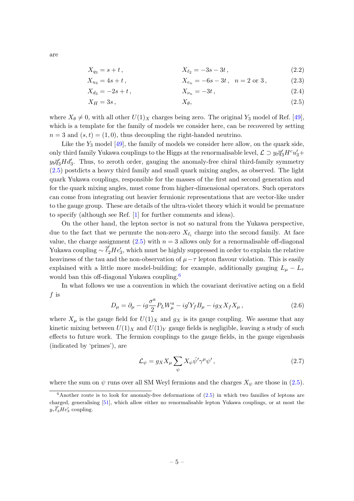<span id="page-5-3"></span>
$$
X_{q_3} = s + t, \t\t X_{\ell_2} = -3s - 3t, \t\t (2.2)
$$

$$
X_{u_3} = 4s + t, \t\t X_{e_n} = -6s - 3t, \t n = 2 \t or \t 3,
$$
\t(2.3)

<span id="page-5-0"></span>
$$
X_{d_3} = -2s + t, \qquad X_{\nu_n} = -3t, \qquad (2.4)
$$

$$
X_H = 3s, \t\t X_\theta, \t\t (2.5)
$$

where  $X_{\theta} \neq 0$ , with all other  $U(1)_X$  charges being zero. The original Y<sub>3</sub> model of Ref. [\[49\]](#page-18-5), which is a template for the family of models we consider here, can be recovered by setting  $n = 3$  and  $(s, t) = (1, 0)$ , thus decoupling the right-handed neutrino.

Like the  $Y_3$  model [\[49\]](#page-18-5), the family of models we consider here allow, on the quark side, only third family Yukawa couplings to the Higgs at the renormalisable level,  $\mathcal{L} \supset y_t \overline{q}'_3 H^c u'_3 +$  $y_b\overline{q}_3'Hd_3'$ . Thus, to zeroth order, gauging the anomaly-free chiral third-family symmetry [\(2.5\)](#page-5-0) postdicts a heavy third family and small quark mixing angles, as observed. The light quark Yukawa couplings, responsible for the masses of the first and second generation and for the quark mixing angles, must come from higher-dimensional operators. Such operators can come from integrating out heavier fermionic representations that are vector-like under to the gauge group. These are details of the ultra-violet theory which it would be premature to specify (although see Ref. [\[1\]](#page-16-0) for further comments and ideas).

On the other hand, the lepton sector is not so natural from the Yukawa perspective, due to the fact that we permute the non-zero  $X_{\ell_i}$  charge into the second family. At face value, the charge assignment  $(2.5)$  with  $n = 3$  allows only for a renormalisable off-diagonal Yukawa coupling  $\sim \vec{\ell}_2 H e'_3$ , which must be highly suppressed in order to explain the relative heaviness of the tau and the non-observation of  $\mu-\tau$  lepton flavour violation. This is easily explained with a little more model-building; for example, additionally gauging  $L_{\mu} - L_{\tau}$ would ban this off-diagonal Yukawa coupling.<sup>[6](#page-5-1)</sup>

In what follows we use a convention in which the covariant derivative acting on a field  $f$  is

$$
D_{\mu} = \partial_{\mu} - ig\frac{\sigma^a}{2} P_L W^a_{\mu} - ig' Y_f B_{\mu} - ig_X X_f X_{\mu}, \qquad (2.6)
$$

where  $X_{\mu}$  is the gauge field for  $U(1)_{X}$  and  $g_{X}$  is its gauge coupling. We assume that any kinetic mixing between  $U(1)_X$  and  $U(1)_Y$  gauge fields is negligible, leaving a study of such effects to future work. The fermion couplings to the gauge fields, in the gauge eigenbasis (indicated by 'primes'), are

<span id="page-5-2"></span>
$$
\mathcal{L}_{\psi} = g_X X_{\mu} \sum_{\psi} X_{\psi} \bar{\psi}' \gamma^{\mu} \psi', \qquad (2.7)
$$

where the sum on  $\psi$  runs over all SM Weyl fermions and the charges  $X_{\psi}$  are those in [\(2.5\)](#page-5-0).

are

<span id="page-5-1"></span> $6$ Another route is to look for anomaly-free deformations of  $(2.5)$  in which two families of leptons are charged, generalising [\[51\]](#page-18-6), which allow either no renormalisable lepton Yukawa couplings, or at most the  $y_{\tau}\overline{\ell}'_{3}He'_{3}$  coupling.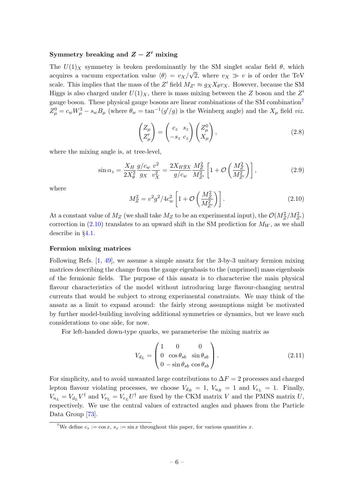### Symmetry breaking and  $Z - Z'$  mixing

The  $U(1)_X$  symmetry is broken predominantly by the SM singlet scalar field  $\theta$ , which acquires a vacuum expectation value  $\langle \theta \rangle = v_X/\sqrt{2}$ , where  $v_X \gg v$  is of order the TeV scale. This implies that the mass of the Z' field  $M_{Z'} \approx g_X X_{\theta} v_X$ . However, because the SM Higgs is also charged under  $U(1)_X$ , there is mass mixing between the Z boson and the Z' gauge boson. These physical gauge bosons are linear combinations of the SM combination[7](#page-6-0)  $Z^0_\mu = c_w W^3_\mu - s_w B_\mu$  (where  $\theta_w = \tan^{-1}(g'/g)$  is the Weinberg angle) and the  $X_\mu$  field viz.

$$
\begin{pmatrix} Z_{\mu} \\ Z_{\mu}' \end{pmatrix} = \begin{pmatrix} c_z & s_z \\ -s_z & c_z \end{pmatrix} \begin{pmatrix} Z_{\mu}^0 \\ X_{\mu} \end{pmatrix},
$$
\n(2.8)

where the mixing angle is, at tree-level,

<span id="page-6-2"></span>
$$
\sin \alpha_z = \frac{X_H}{2X_\theta^2} \frac{g/c_w}{g_X} \frac{v^2}{v_X^2} = \frac{2X_H g_X}{g/c_w} \frac{M_Z^2}{M_{Z'}^2} \left[ 1 + \mathcal{O}\left(\frac{M_Z^2}{M_{Z'}^2}\right) \right],\tag{2.9}
$$

where

<span id="page-6-1"></span>
$$
M_Z^2 = v^2 g^2 / 4c_w^2 \left[ 1 + \mathcal{O}\left(\frac{M_Z^2}{M_{Z'}^2}\right) \right].
$$
 (2.10)

At a constant value of  $M_Z$  (we shall take  $M_Z$  to be an experimental input), the  $\mathcal{O}(M_Z^2/M_{Z^\prime}^2)$ correction in  $(2.10)$  translates to an upward shift in the SM prediction for  $M_W$ , as we shall describe in §[4.1.](#page-8-1)

#### Fermion mixing matrices

Following Refs. [\[1,](#page-16-0) [49\]](#page-18-5), we assume a simple ansatz for the 3-by-3 unitary fermion mixing matrices describing the change from the gauge eigenbasis to the (unprimed) mass eigenbasis of the fermionic fields. The purpose of this ansatz is to characterise the main physical flavour characteristics of the model without introducing large flavour-changing neutral currents that would be subject to strong experimental constraints. We may think of the ansatz as a limit to expand around: the fairly strong assumptions might be motivated by further model-building involving additional symmetries or dynamics, but we leave such considerations to one side, for now.

For left-handed down-type quarks, we parameterise the mixing matrix as

$$
V_{d_L} = \begin{pmatrix} 1 & 0 & 0 \\ 0 & \cos \theta_{sb} & \sin \theta_{sb} \\ 0 & -\sin \theta_{sb} & \cos \theta_{sb} \end{pmatrix}.
$$
 (2.11)

For simplicity, and to avoid unwanted large contributions to  $\Delta F = 2$  processes and charged lepton flavour violating processes, we choose  $V_{d_R} = 1$ ,  $V_{u_R} = 1$  and  $V_{e_L} = 1$ . Finally,  $V_{u_L} = V_{d_L} V^{\dagger}$  and  $V_{\nu_L} = V_{e_L} U^{\dagger}$  are fixed by the CKM matrix V and the PMNS matrix U, respectively. We use the central values of extracted angles and phases from the Particle Data Group [\[73\]](#page-19-2).

<span id="page-6-0"></span><sup>&</sup>lt;sup>7</sup>We define  $c_x := \cos x$ ,  $s_x := \sin x$  throughout this paper, for various quantities x.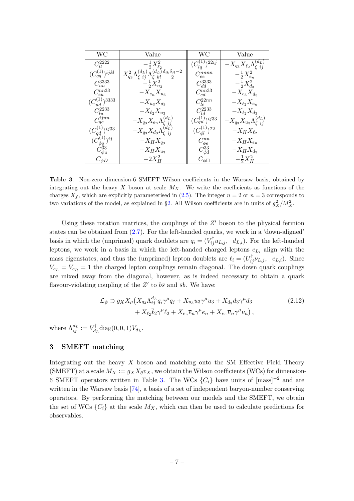<span id="page-7-1"></span>

| WС                                  | Value                                                                                              | WС                                | Value                                             |
|-------------------------------------|----------------------------------------------------------------------------------------------------|-----------------------------------|---------------------------------------------------|
| $C_{ll}^{2222}$                     | $-\frac{1}{2}X_{\ell_2}^2$                                                                         | $(C_{lq}^{(1)})^{22ij}$           | $-X_{q_3}X_{\ell_2}\Lambda_{\xi\ ij}^{(d_L)}$     |
| $(C_{aa}^{(1)})^{ijkl}$             | $X_{q_3}^2 \Lambda_{\xi\ ij}^{(d_L)} \Lambda_{\xi\ kl}^{(d_L)} \frac{\delta_{ik}\delta_{jl}-2}{2}$ | $C_{ee}^{nnnn}$                   | $-\frac{1}{2}X_{e_n}^2$                           |
| $C_{uu}^{3333}$                     | $-\frac{1}{2}X_{u_3}^2$                                                                            | $C_{dd}^{3333}$                   | $-\frac{1}{2}X_{d_3}^2$                           |
| $C_{eu}^{nn33}$                     | $-X_{e_n}X_{u_3}$                                                                                  | $C_{ed}^{nn33}$                   | $-X_{e_3}X_{d_3}$                                 |
| $(C_{ud}^{(1)} \tilde \big)^{3333}$ | $-X_{u_3}X_{d_3}$                                                                                  | $C_{le}^{22nn}$                   | $-X_{\ell_2}X_{e_n}$                              |
| $C_{lu}^{2233}$                     | $-X_{\ell_2}X_{u_3}$                                                                               | $C_{ld}^{\overset{\circ}{2} 233}$ | $-X_{\ell_2}X_{d_3}$                              |
| $C_{qe}^{ijnn}$                     |                                                                                                    | $(C_{qu}^{(1)})^{ij33}$           | $-X_{q_3}X_{u_3}\Lambda_{\epsilon\,\,ii}^{(d_L)}$ |
| $(C_{qd}^{(1)})^{ij33}$             | $-X_{q_3}X_{e_n}\Lambda_{\xi}^{(d_L)}\ -X_{q_3}X_{d_3}\Lambda_{\xi}^{(d_L)}$                       | $(C^{(1)}_{\phi l})^{22}$         | $-X_H X_{\ell_2}$                                 |
| $(C_{\phi q}^{(1)})^{ij}$           | $-X_HX_{q_3}$                                                                                      | $C_{\phi e}^{nn}$                 | $-X_HX_{e_n}$                                     |
| $C_{\phi u}^{33}$                   | $-X_HX_{u_3}$                                                                                      | $C^{33}_{\phi d}$                 | $-X_H X_{d_3}$                                    |
| $C_{\phi D}$                        | $-2X_H^2$                                                                                          | $C_{\phi\Box}$                    | $-\frac{1}{2}X_{H}^{2}$                           |

Table 3. Non-zero dimension-6 SMEFT Wilson coefficients in the Warsaw basis, obtained by integrating out the heavy X boson at scale  $M_X$ . We write the coefficients as functions of the charges  $X_f$ , which are explicitly parameterised in [\(2.5\)](#page-5-0). The integer  $n = 2$  or  $n = 3$  corresponds to two variations of the model, as explained in §[2.](#page-4-0) All Wilson coefficients are in units of  $g_X^2/M_X^2$ .

Using these rotation matrices, the couplings of the  $Z'$  boson to the physical fermion states can be obtained from [\(2.7\)](#page-5-2). For the left-handed quarks, we work in a 'down-aligned' basis in which the (unprimed) quark doublets are  $q_i = (V_{ij}^{\dagger} u_{L,j}, d_{L,i})$ . For the left-handed leptons, we work in a basis in which the left-handed charged leptons  $e_{L_i}$  align with the mass eigenstates, and thus the (unprimed) lepton doublets are  $\ell_i = (U_{ij}^{\dagger} \nu_{L,j}, e_{L,i})$ . Since  $V_{e_L} = V_{e_R} = 1$  the charged lepton couplings remain diagonal. The down quark couplings are mixed away from the diagonal, however, as is indeed necessary to obtain a quark flavour-violating coupling of the  $Z'$  to  $b\bar{s}$  and  $\bar{s}b$ . We have:

$$
\mathcal{L}_{\psi} \supset g_X X_{\mu} \left( X_{q_3} \Lambda_{ij}^{d_L} \overline{q}_i \gamma^{\mu} q_j + X_{u_3} \overline{u}_3 \gamma^{\mu} u_3 + X_{d_3} \overline{d}_3 \gamma^{\mu} d_3 \right. \tag{2.12}
$$
\n
$$
+ X_{\ell_2} \overline{\ell}_2 \gamma^{\mu} \ell_2 + X_{e_n} \overline{e}_n \gamma^{\mu} e_n + X_{\nu_n} \overline{\nu}_n \gamma^{\mu} \nu_n \right),
$$

where  $\Lambda^{d_L}_{ij} := V_{d_j}^\dagger$  $U_{d_L}^{\dagger}$ diag $(0,0,1)V_{d_L}$ .

# <span id="page-7-0"></span>3 SMEFT matching

Integrating out the heavy  $X$  boson and matching onto the SM Effective Field Theory (SMEFT) at a scale  $M_X := g_X X_{\theta} v_X$ , we obtain the Wilson coefficients (WCs) for dimension-6 SMEFT operators written in Table [3.](#page-7-1) The WCs  $\{C_i\}$  have units of  ${\text{[mass]}}^{-2}$  and are written in the Warsaw basis [\[74\]](#page-19-3), a basis of a set of independent baryon-number conserving operators. By performing the matching between our models and the SMEFT, we obtain the set of WCs  $\{C_i\}$  at the scale  $M_X$ , which can then be used to calculate predictions for observables.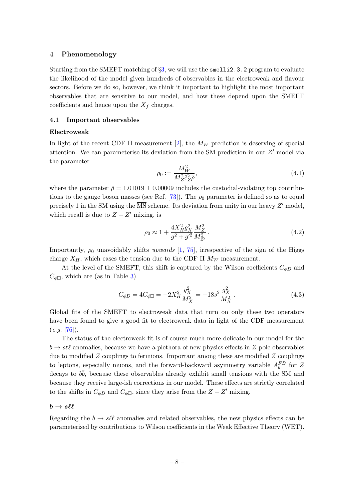### <span id="page-8-0"></span>4 Phenomenology

Starting from the SMEFT matching of §[3,](#page-7-0) we will use the smelli2.3.2 program to evaluate the likelihood of the model given hundreds of observables in the electroweak and flavour sectors. Before we do so, however, we think it important to highlight the most important observables that are sensitive to our model, and how these depend upon the SMEFT coefficients and hence upon the  $X_f$  charges.

### <span id="page-8-1"></span>4.1 Important observables

#### Electroweak

In light of the recent CDF II measurement [\[2\]](#page-16-1), the  $M_W$  prediction is deserving of special attention. We can parameterise its deviation from the SM prediction in our  $Z'$  model via the parameter

$$
\rho_0 := \frac{M_W^2}{M_Z^2 \hat{c}_Z^2 \hat{\rho}},\tag{4.1}
$$

where the parameter  $\hat{\rho} = 1.01019 \pm 0.00009$  includes the custodial-violating top contribu-tions to the gauge boson masses (see Ref. [\[73\]](#page-19-2)). The  $\rho_0$  parameter is defined so as to equal precisely 1 in the SM using the  $\overline{\text{MS}}$  scheme. Its deviation from unity in our heavy  $Z'$  model, which recall is due to  $Z - Z'$  mixing, is

$$
\rho_0 \approx 1 + \frac{4X_H^2 g_X^2}{g^2 + g'^2} \frac{M_Z^2}{M_{Z'}^2} \,. \tag{4.2}
$$

Importantly,  $\rho_0$  unavoidably shifts upwards [\[1,](#page-16-0) [75\]](#page-20-0), irrespective of the sign of the Higgs charge  $X_H$ , which eases the tension due to the CDF II  $M_W$  measurement.

At the level of the SMEFT, this shift is captured by the Wilson coefficients  $C_{\phi D}$  and  $C_{\phi\Box}$ , which are (as in Table [3\)](#page-7-1)

$$
C_{\phi D} = 4C_{\phi \Box} = -2X_H^2 \frac{g_X^2}{M_X^2} = -18s^2 \frac{g_X^2}{M_X^2}.
$$
\n(4.3)

Global fits of the SMEFT to electroweak data that turn on only these two operators have been found to give a good fit to electroweak data in light of the CDF measurement  $(e.g. [76]).$  $(e.g. [76]).$  $(e.g. [76]).$ 

The status of the electroweak fit is of course much more delicate in our model for the  $b \rightarrow s\ell\ell$  anomalies, because we have a plethora of new physics effects in Z pole observables due to modified  $Z$  couplings to fermions. Important among these are modified  $Z$  couplings to leptons, especially muons, and the forward-backward asymmetry variable  $A_b^{FB}$  for Z decays to  $b\bar{b}$ , because these observables already exhibit small tensions with the SM and because they receive large-ish corrections in our model. These effects are strictly correlated to the shifts in  $C_{\phi D}$  and  $C_{\phi \Box}$ , since they arise from the  $Z - Z'$  mixing.

# $b \to s \ell \ell$

Regarding the  $b \to s\ell\ell$  anomalies and related observables, the new physics effects can be parameterised by contributions to Wilson coefficients in the Weak Effective Theory (WET).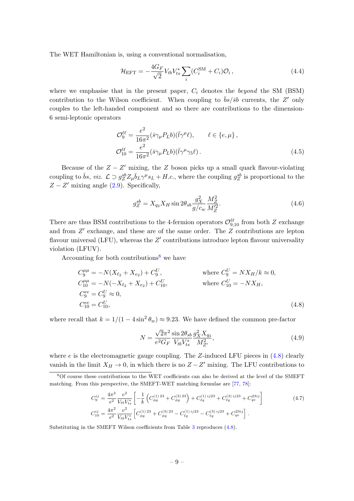The WET Hamiltonian is, using a conventional normalisation,

$$
\mathcal{H}_{\rm EFT} = -\frac{4G_F}{\sqrt{2}} V_{tb} V_{ts}^* \sum_i (C_i^{\rm SM} + C_i) \mathcal{O}_i \,, \tag{4.4}
$$

where we emphasise that in the present paper,  $C_i$  denotes the *beyond* the SM (BSM) contribution to the Wilson coefficient. When coupling to  $\bar{b}s/\bar{s}b$  currents, the Z' only couples to the left-handed component and so there are contributions to the dimension-6 semi-leptonic operators

$$
\mathcal{O}_9^{\ell\ell} = \frac{e^2}{16\pi^2} (\bar{s}\gamma_\mu P_L b)(\bar{l}\gamma^\mu \ell), \qquad \ell \in \{e, \mu\},
$$
  

$$
\mathcal{O}_{10}^{\ell\ell} = \frac{e^2}{16\pi^2} (\bar{s}\gamma_\mu P_L b)(\bar{l}\gamma^\mu \gamma_5 \ell).
$$
 (4.5)

Because of the  $Z - Z'$  mixing, the Z boson picks up a small quark flavour-violating coupling to  $\bar{b}s$ , viz.  $\mathcal{L} \supset g_Z^{sb} Z_\mu \bar{b}_L \gamma^\mu s_L + H.c.$ , where the coupling  $g_Z^{sb}$  is proportional to the  $Z - Z'$  mixing angle [\(2.9\)](#page-6-2). Specifically,

$$
g_Z^{sb} = X_{q_3} X_H \sin 2\theta_{sb} \frac{g_X^2}{g/c_w} \frac{M_Z^2}{M_Z'^2}.
$$
\n(4.6)

There are thus BSM contributions to the 4-fermion operators  $\mathcal{O}_{9,10}^{\ell\ell}$  from both Z exchange and from  $Z'$  exchange, and these are of the same order. The  $Z$  contributions are lepton flavour universal (LFU), whereas the  $Z'$  contributions introduce lepton flavour universality violation (LFUV).

Accounting for both contributions<sup>[8](#page-9-0)</sup> we have

$$
C_9^{\mu\mu} = -N(X_{\ell_2} + X_{\epsilon_2}) + C_9^U, \qquad \text{where } C_9^U = N X_H / k \approx 0,
$$
  
\n
$$
C_{10}^{\mu\mu} = -N(-X_{\ell_2} + X_{\epsilon_2}) + C_{10}^U, \qquad \text{where } C_{10}^U = -NX_H,
$$
  
\n
$$
C_9^{\epsilon\epsilon} = C_9^U \approx 0,
$$
  
\n
$$
C_{10}^{\epsilon\epsilon} = C_{10}^U, \qquad (4.8)
$$

where recall that  $k = 1/(1 - 4\sin^2 \theta_w) \approx 9.23$ . We have defined the common pre-factor

<span id="page-9-2"></span><span id="page-9-1"></span>
$$
N = \frac{\sqrt{2}\pi^2}{e^2 G_F} \frac{\sin 2\theta_{sb}}{V_{tb} V_{ts}^*} \frac{g_X^2 X_{q_3}}{M_{Z'}^2},
$$
\n(4.9)

where  $e$  is the electromagnetic gauge coupling. The Z-induced LFU pieces in  $(4.8)$  clearly vanish in the limit  $X_H \to 0$ , in which there is no  $Z - Z'$  mixing. The LFU contributions to

$$
C_{9}^{ij} = \frac{4\pi^{2}}{e^{2}} \frac{v^{2}}{V_{tb}V_{ts}^{*}} \left[ -\frac{1}{k} \left( C_{\phi q}^{(1)23} + C_{\phi q}^{(3)23} \right) + C_{\ell q}^{(1)ij23} + C_{\ell q}^{(3)ij23} + C_{q e}^{23ij} \right]
$$
\n
$$
C_{10}^{ij} = \frac{4\pi^{2}}{e^{2}} \frac{v^{2}}{V_{tb}V_{ts}^{*}} \left[ C_{\phi q}^{(1)23} + C_{\phi q}^{(3)23} - C_{\ell q}^{(1)ij23} - C_{\ell q}^{(3)ij23} + C_{q e}^{23ij} \right].
$$
\n(4.7)

Substituting in the SMEFT Wilson coefficients from Table [3](#page-7-1) reproduces [\(4.8\)](#page-9-1).

<span id="page-9-0"></span><sup>8</sup>Of course these contributions to the WET coefficients can also be derived at the level of the SMEFT matching. From this perspective, the SMEFT-WET matching formulae are [\[77,](#page-20-2) [78\]](#page-20-3):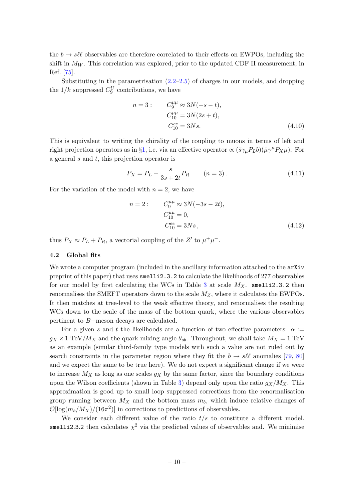the  $b \to s\ell\ell$  observables are therefore correlated to their effects on EWPOs, including the shift in  $M_W$ . This correlation was explored, prior to the updated CDF II measurement, in Ref. [\[75\]](#page-20-0).

Substituting in the parametrisation  $(2.2-2.5)$  $(2.2-2.5)$  of charges in our models, and dropping the  $1/k$  suppressed  $C_9^U$  contributions, we have

$$
n = 3: \t C_9^{\mu\mu} \approx 3N(-s - t),
$$
  
\n
$$
C_{10}^{\mu\mu} = 3N(2s + t),
$$
  
\n
$$
C_{10}^{ee} = 3Ns.
$$
\t(4.10)

This is equivalent to writing the chirality of the coupling to muons in terms of left and right projection operators as in §[1,](#page-1-0) i.e. via an effective operator  $\propto (\bar{s}\gamma_\mu P_L b)(\bar{\mu}\gamma^\mu P_X\mu)$ . For a general s and t, this projection operator is

$$
P_X = P_L - \frac{s}{3s + 2t} P_R \qquad (n = 3).
$$
 (4.11)

For the variation of the model with  $n = 2$ , we have

$$
n = 2: \t C_9^{\mu\mu} \approx 3N(-3s - 2t),
$$
  
\n
$$
C_{10}^{\mu\mu} = 0,
$$
  
\n
$$
C_{10}^{ee} = 3Ns,
$$
\t(4.12)

thus  $P_X \approx P_L + P_R$ , a vectorial coupling of the Z' to  $\mu^+ \mu^-$ .

#### <span id="page-10-0"></span>4.2 Global fits

We wrote a computer program (included in the ancillary information attached to the  $arXiv$ preprint of this paper) that uses smelli2.3.2 to calculate the likelihoods of 277 observables for our model by first calculating the WCs in Table [3](#page-7-1) at scale  $M_X$ . smelli2.3.2 then renormalises the SMEFT operators down to the scale  $M_Z$ , where it calculates the EWPOs. It then matches at tree-level to the weak effective theory, and renormalises the resulting WCs down to the scale of the mass of the bottom quark, where the various observables pertinent to B−meson decays are calculated.

For a given s and t the likelihoods are a function of two effective parameters:  $\alpha :=$  $g_X \times 1 \text{ TeV}/M_X$  and the quark mixing angle  $\theta_{sb}$ . Throughout, we shall take  $M_X = 1 \text{ TeV}$ as an example (similar third-family type models with such a value are not ruled out by search constraints in the parameter region where they fit the  $b \to s\ell\ell$  anomalies [\[79,](#page-20-4) [80\]](#page-20-5) and we expect the same to be true here). We do not expect a significant change if we were to increase  $M_X$  as long as one scales  $g_X$  by the same factor, since the boundary conditions upon the Wilson coefficients (shown in Table [3\)](#page-7-1) depend only upon the ratio  $g_X/M_X$ . This approximation is good up to small loop suppressed corrections from the renormalisation group running between  $M_X$  and the bottom mass  $m_b$ , which induce relative changes of  $\mathcal{O}[\log(m_b/M_X)/(16\pi^2)]$  in corrections to predictions of observables.

We consider each different value of the ratio  $t/s$  to constitute a different model. smelli2.3.2 then calculates  $\chi^2$  via the predicted values of observables and. We minimise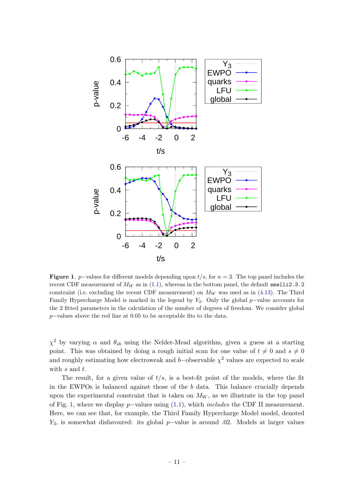<span id="page-11-0"></span>

Figure 1. p–values for different models depending upon  $t/s$ , for  $n = 3$ . The top panel includes the recent CDF measurement of  $M_W$  as in [\(1.1\)](#page-1-2), whereas in the bottom panel, the default smelli2.3.2 constraint (i.e. excluding the recent CDF measurement) on  $M_W$  was used as in [\(4.13\)](#page-12-0). The Third Family Hypercharge Model is marked in the legend by  $Y_3$ . Only the global p−value accounts for the 2 fitted parameters in the calculation of the number of degrees of freedom. We consider global p−values above the red line at 0.05 to be acceptable fits to the data.

 $\chi^2$  by varying  $\alpha$  and  $\theta_{sb}$  using the Nelder-Mead algorithm, given a guess at a starting point. This was obtained by doing a rough initial scan for one value of  $t \neq 0$  and  $s \neq 0$ and roughly estimating how electroweak and b–observable  $\chi^2$  values are expected to scale with  $s$  and  $t$ .

The result, for a given value of  $t/s$ , is a best-fit point of the models, where the fit in the EWPOs is balanced against those of the  $b$  data. This balance crucially depends upon the experimental constraint that is taken on  $M_W$ , as we illustrate in the top panel of Fig. [1,](#page-11-0) where we display p−values using [\(1.1\)](#page-1-2), which includes the CDF II measurement. Here, we can see that, for example, the Third Family Hypercharge Model model, denoted  $Y_3$ , is somewhat disfavoured: its global p–value is around .02. Models at larger values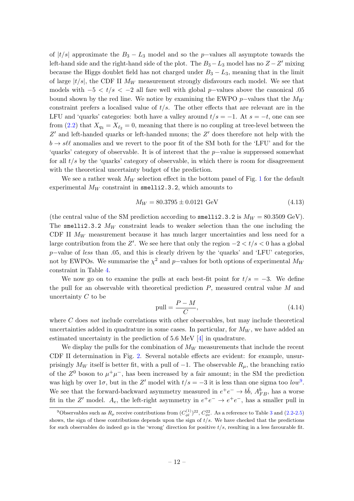of  $|t/s|$  approximate the  $B_3 - L_3$  model and so the p-values all asymptote towards the left-hand side and the right-hand side of the plot. The  $B_3 - L_3$  model has no  $Z - Z'$  mixing because the Higgs doublet field has not charged under  $B_3 - L_3$ , meaning that in the limit of large  $|t/s|$ , the CDF II  $M_W$  measurement strongly disfavours each model. We see that models with  $-5 < t/s < -2$  all fare well with global p-values above the canonical .05 bound shown by the red line. We notice by examining the EWPO p–values that the  $M_W$ constraint prefers a localised value of  $t/s$ . The other effects that are relevant are in the LFU and 'quarks' categories: both have a valley around  $t/s = -1$ . At  $s = -t$ , one can see from [\(2.2\)](#page-5-3) that  $X_{q_3} = X_{\ell_2} = 0$ , meaning that there is no coupling at tree-level between the  $Z'$  and left-handed quarks or left-handed muons; the  $Z'$  does therefore not help with the  $b \to s\ell\ell$  anomalies and we revert to the poor fit of the SM both for the 'LFU' and for the 'quarks' category of observable. It is of interest that the p−value is suppressed somewhat for all  $t/s$  by the 'quarks' category of observable, in which there is room for disagreement with the theoretical uncertainty budget of the prediction.

We see a rather weak  $M_W$  selection effect in the bottom panel of Fig. [1](#page-11-0) for the default experimental  $M_W$  constraint in smelli2.3.2, which amounts to

<span id="page-12-0"></span>
$$
M_W = 80.3795 \pm 0.0121 \text{ GeV} \tag{4.13}
$$

(the central value of the SM prediction according to smelli2.3.2 is  $M_W = 80.3509$  GeV). The smelli2.3.2  $M_W$  constraint leads to weaker selection than the one including the CDF II  $M_W$  measurement because it has much larger uncertainties and less need for a large contribution from the Z'. We see here that only the region  $-2 < t/s < 0$  has a global p−value of less than .05, and this is clearly driven by the 'quarks' and 'LFU' categories, not by EWPOs. We summarise the  $\chi^2$  and p–values for both options of experimental  $M_W$ constraint in Table [4.](#page-13-0)

We now go on to examine the pulls at each best-fit point for  $t/s = -3$ . We define the pull for an observable with theoretical prediction  $P$ , measured central value  $M$  and uncertainty C to be

<span id="page-12-1"></span>
$$
pull = \frac{P - M}{C}, \tag{4.14}
$$

where  $C$  does not include correlations with other observables, but may include theoretical uncertainties added in quadrature in some cases. In particular, for  $M_W$ , we have added an estimated uncertainty in the prediction of 5.6 MeV [\[4\]](#page-16-2) in quadrature.

We display the pulls for the combination of  $M_W$  measurements that include the recent CDF II determination in Fig. [2.](#page-13-1) Several notable effects are evident: for example, unsurprisingly  $M_W$  itself is better fit, with a pull of -1. The observable  $R_\mu$ , the branching ratio of the  $Z^0$  boson to  $\mu^+\mu^-$ , has been increased by a fair amount; in the SM the prediction was high by over  $1\sigma$ , but in the Z' model with  $t/s = -3$  it is less than one sigma too low<sup>[9](#page-12-2)</sup>. We see that the forward-backward asymmetry measured in  $e^+e^- \to b\bar{b}$ ,  $A_{FB}^b$ , has a worse fit in the Z' model.  $A_e$ , the left-right asymmetry in  $e^+e^- \rightarrow e^+e^-$ , has a smaller pull in

<span id="page-12-2"></span><sup>&</sup>lt;sup>9</sup>Observables such as  $R_\mu$  receive contributions from  $(C_{\phi l}^{(1)})^{22}$ ,  $C_{\phi e}^{22}$ . As a reference to Table [3](#page-7-1) and [\(2.2-](#page-5-3)[2.5\)](#page-5-0) shows, the sign of these contributions depends upon the sign of  $t/s$ . We have checked that the predictions for such observables do indeed go in the 'wrong' direction for positive  $t/s$ , resulting in a less favourable fit.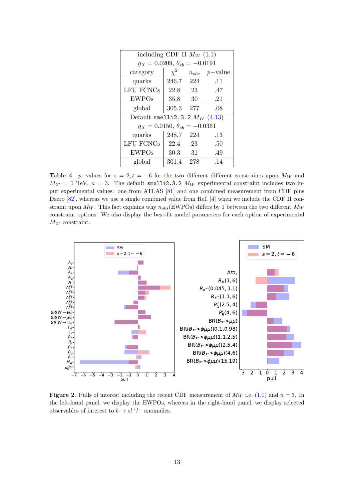<span id="page-13-0"></span>

| including CDF II $M_W$ (1.1)              |                                         |     |     |  |  |  |  |  |  |  |  |
|-------------------------------------------|-----------------------------------------|-----|-----|--|--|--|--|--|--|--|--|
| $q_X = 0.0209, \ \theta_{sb} = -0.0191$   |                                         |     |     |  |  |  |  |  |  |  |  |
| $\chi^2$<br>category<br>$n_{obs}$ p-value |                                         |     |     |  |  |  |  |  |  |  |  |
| quarks                                    | 246.7 224                               |     | .11 |  |  |  |  |  |  |  |  |
| <b>LFU FCNCs</b>                          | 22.8                                    | 23  | .47 |  |  |  |  |  |  |  |  |
| <b>EWPOs</b>                              | 35.8                                    | 30  | .21 |  |  |  |  |  |  |  |  |
| global                                    | 305.3                                   | 277 | .08 |  |  |  |  |  |  |  |  |
| Default smelli2.3.2 $M_W$ (4.13)          |                                         |     |     |  |  |  |  |  |  |  |  |
|                                           | $g_X = 0.0150, \ \theta_{sb} = -0.0361$ |     |     |  |  |  |  |  |  |  |  |
| quarks                                    | 248.7 224                               |     | .13 |  |  |  |  |  |  |  |  |
| LFU FCNCs                                 | 22.4                                    | 23  | .50 |  |  |  |  |  |  |  |  |
| <b>EWPOs</b>                              | 30.3                                    | 31  | .49 |  |  |  |  |  |  |  |  |
| global                                    | 301.4                                   | 278 | .14 |  |  |  |  |  |  |  |  |

Table 4. p–values for  $s = 2, t = -6$  for the two different different constraints upon  $M_W$  and  $M_{Z'} = 1$  TeV,  $n = 3$ . The default smelli2.3.2  $M_W$  experimental constraint includes two input experimental values: one from ATLAS [\[81\]](#page-20-6) and one combined measurement from CDF plus Dzero [\[82\]](#page-20-7), whereas we use a single combined value from Ref. [\[4\]](#page-16-2) when we include the CDF II constraint upon  $M_W$ . This fact explains why  $n_{obs}$ (EWPOs) differs by 1 between the two different  $M_W$ constraint options. We also display the best-fit model parameters for each option of experimental  $M_W$  constraint.

<span id="page-13-1"></span>

**Figure 2.** Pulls of interest including the recent CDF measurement of  $M_W$  i.e. [\(1.1\)](#page-1-2) and  $n = 3$ . In the left-hand panel, we display the EWPOs, whereas in the right-hand panel, we display selected observables of interest to  $b \to s l^+ l^-$  anomalies.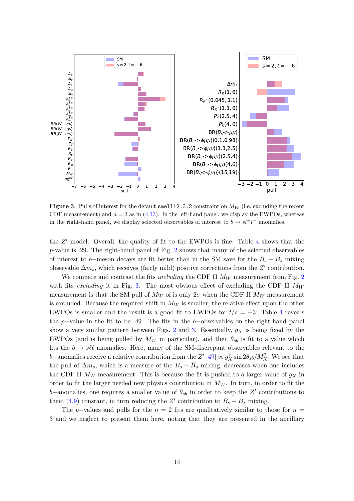<span id="page-14-0"></span>

**Figure 3.** Pulls of interest for the default smelli2.3.2 constraint on  $M_W$  (i.e. excluding the recent CDF measurement) and  $n = 3$  as in [\(4.13\)](#page-12-0). In the left-hand panel, we display the EWPOs, whereas in the right-hand panel, we display selected observables of interest to  $b \to s l^+l^-$  anomalies.

the  $Z'$  model. Overall, the quality of fit to the EWPOs is fine: Table [4](#page-13-0) shows that the p-value is .29. The right-hand panel of Fig. [2](#page-13-1) shows that many of the selected observables of interest to b–meson decays are fit better than in the SM save for the  $B_s - \overline{B_s}$  mixing observable  $\Delta m_s$ , which receives (fairly mild) positive corrections from the Z' contribution.

We compare and contrast the fits *including* the CDF II  $M_W$  measurement from Fig. [2](#page-13-1) with fits excluding it in Fig. [3.](#page-14-0) The most obvious effect of excluding the CDF II  $M_W$ measurement is that the SM pull of  $M_W$  of is only  $2\sigma$  when the CDF II  $M_W$  measurement is excluded. Because the required shift in  $M_W$  is smaller, the relative effect upon the other EWPOs is smaller and the result is a good fit to EWPOs for  $t/s = -3$ : Table [4](#page-13-0) reveals the p–value in the fit to be .49. The fits in the b–observables on the right-hand panel show a very similar pattern between Figs. [2](#page-13-1) and [3.](#page-14-0) Essentially,  $g_X$  is being fixed by the EWPOs (and is being pulled by  $M_W$  in particular), and then  $\theta_{sb}$  is fit to a value which fits the  $b \to s\ell\ell$  anomalies. Here, many of the SM-discrepant observables relevant to the b–anomalies receive a relative contribution from the  $Z'$  [\[49\]](#page-18-5)  $\propto g_X^2 \sin 2\theta_{sb}/M_X^2$ . We see that the pull of  $\Delta m_s$ , which is a measure of the  $B_s - \overline{B}_s$  mixing, decreases when one includes the CDF II  $M_W$  measurement. This is because the fit is pushed to a larger value of  $q_X$  in order to fit the larger needed new physics contribution in  $M_W$ . In turn, in order to fit the b–anomalies, one requires a smaller value of  $\theta_{sb}$  in order to keep the Z' contributions to them [\(4.9\)](#page-9-2) constant, in turn reducing the Z' contribution to  $B_s - \overline{B}_s$  mixing.

The p–values and pulls for the  $n = 2$  fits are qualitatively similar to those for  $n =$ 3 and we neglect to present them here, noting that they are presented in the ancillary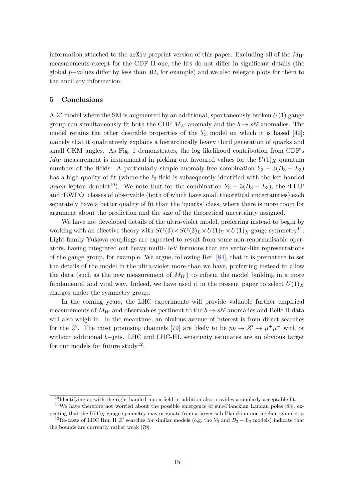information attached to the  $\Delta x$ iv preprint version of this paper. Excluding all of the  $M_W$ measurements except for the CDF II one, the fits do not differ in significant details (the global p–values differ by less than  $.02$ , for example) and we also relegate plots for them to the ancillary information.

## <span id="page-15-0"></span>5 Conclusions

A  $Z'$  model where the SM is augmented by an additional, spontaneously broken  $U(1)$  gauge group can simultaneously fit both the CDF  $M_W$  anomaly and the  $b \to s\ell\ell$  anomalies. The model retains the other desirable properties of the  $Y_3$  model on which it is based [\[49\]](#page-18-5): namely that it qualitatively explains a hierarchically heavy third generation of quarks and small CKM angles. As Fig. [1](#page-11-0) demonstrates, the log likelihood contribution from CDF's  $M_W$  measurement is instrumental in picking out favoured values for the  $U(1)_X$  quantum numbers of the fields. A particularly simple anomaly-free combination  $Y_3 - 3(B_3 - L_3)$ has a high quality of fit (where the  $\ell_3$  field is subsequently identified with the left-handed muon lepton doublet<sup>[10](#page-15-1)</sup>). We note that for the combination  $Y_3 - 3(B_3 - L_3)$ , the 'LFU' and 'EWPO' classes of observable (both of which have small theoretical uncertainties) each separately have a better quality of fit than the 'quarks' class, where there is more room for argument about the prediction and the size of the theoretical uncertainty assigned.

We have not developed details of the ultra-violet model, preferring instead to begin by working with an effective theory with  $SU(3) \times SU(2)_L \times U(1)_Y \times U(1)_X$  gauge symmetry<sup>[11](#page-15-2)</sup>. Light family Yukawa couplings are expected to result from some non-renormalisable operators, having integrated out heavy multi-TeV fermions that are vector-like representations of the gauge group, for example. We argue, following Ref. [\[84\]](#page-20-8), that it is premature to set the details of the model in the ultra-violet more than we have, preferring instead to allow the data (such as the new measurement of  $M_W$ ) to inform the model building in a more fundamental and vital way. Indeed, we have used it in the present paper to select  $U(1)_X$ charges under the symmetry group.

In the coming years, the LHC experiments will provide valuable further empirical measurements of  $M_W$  and observables pertinent to the  $b \to s\ell\ell$  anomalies and Belle II data will also weigh in. In the meantime, an obvious avenue of interest is from direct searches for the Z'. The most promising channels [\[79\]](#page-20-4) are likely to be  $pp \to Z' \to \mu^+\mu^-$  with or without additional b−jets. LHC and LHC-HL sensitivity estimates are an obvious target for our models for future study<sup>[12](#page-15-3)</sup>.

<span id="page-15-2"></span><span id="page-15-1"></span><sup>&</sup>lt;sup>10</sup>Identifying  $e_3$  with the right-handed muon field in addition also provides a similarly acceptable fit.

 $11$ We have therefore not worried about the possible emergence of sub-Planckian Landau poles [\[83\]](#page-20-9), expecting that the  $U(1)_X$  gauge symmetry may originate from a larger sub-Planckian non-abelian symmetry. <sup>12</sup>Re-casts of LHC Run II Z' searches for similar models (e.g. the Y<sub>3</sub> and B<sub>3</sub> – L<sub>3</sub> models) indicate that

<span id="page-15-3"></span>the bounds are currently rather weak [\[79\]](#page-20-4).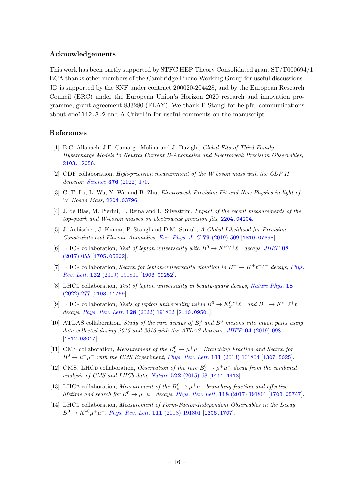### Acknowledgements

This work has been partly supported by STFC HEP Theory Consolidated grant ST/T000694/1. BCA thanks other members of the Cambridge Pheno Working Group for useful discussions. JD is supported by the SNF under contract 200020-204428, and by the European Research Council (ERC) under the European Union's Horizon 2020 research and innovation programme, grant agreement 833280 (FLAY). We thank P Stangl for helpful communications about smelli2.3.2 and A Crivellin for useful comments on the manuscript.

### References

- <span id="page-16-0"></span>[1] B.C. Allanach, J.E. Camargo-Molina and J. Davighi, Global Fits of Third Family Hypercharge Models to Neutral Current B-Anomalies and Electroweak Precision Observables, [2103.12056](https://arxiv.org/abs/2103.12056).
- <span id="page-16-1"></span>[2] CDF collaboration, High-precision measurement of the W boson mass with the CDF II detector, Science 376 [\(2022\) 170.](https://doi.org/10.1126/science.abk1781)
- <span id="page-16-7"></span>[3] C.-T. Lu, L. Wu, Y. Wu and B. Zhu, Electroweak Precision Fit and New Physics in light of W Boson Mass, [2204.03796](https://arxiv.org/abs/2204.03796).
- <span id="page-16-2"></span>[4] J. de Blas, M. Pierini, L. Reina and L. Silvestrini, Impact of the recent measurements of the top-quark and W-boson masses on electroweak precision fits, [2204.04204](https://arxiv.org/abs/2204.04204).
- <span id="page-16-3"></span>[5] J. Aebischer, J. Kumar, P. Stangl and D.M. Straub, A Global Likelihood for Precision Constraints and Flavour Anomalies, [Eur. Phys. J. C](https://doi.org/10.1140/epjc/s10052-019-6977-z) 79 (2019) 509 [[1810.07698](https://arxiv.org/abs/1810.07698)].
- <span id="page-16-4"></span>[6] LHCB collaboration, Test of lepton universality with  $B^0 \to K^{*0}\ell^+\ell^-$  decays, [JHEP](https://doi.org/10.1007/JHEP08(2017)055) 08 [\(2017\) 055](https://doi.org/10.1007/JHEP08(2017)055) [[1705.05802](https://arxiv.org/abs/1705.05802)].
- [7] LHCB collaboration, Search for lepton-universality violation in  $B^+ \to K^+ \ell^+ \ell^-$  decays, [Phys.](https://doi.org/10.1103/PhysRevLett.122.191801) Rev. Lett. 122 [\(2019\) 191801](https://doi.org/10.1103/PhysRevLett.122.191801) [[1903.09252](https://arxiv.org/abs/1903.09252)].
- <span id="page-16-5"></span>[8] LHCB collaboration, Test of lepton universality in beauty-quark decays, [Nature Phys.](https://doi.org/10.1038/s41567-021-01478-8) 18 [\(2022\) 277](https://doi.org/10.1038/s41567-021-01478-8) [[2103.11769](https://arxiv.org/abs/2103.11769)].
- <span id="page-16-6"></span>[9] LHCB collaboration, Tests of lepton universality using  $B^0 \to K_S^0 \ell^+ \ell^-$  and  $B^+ \to K^{*+} \ell^+ \ell^-$ decays, [Phys. Rev. Lett.](https://doi.org/10.1103/PhysRevLett.128.191802) **128** (2022) 191802 [[2110.09501](https://arxiv.org/abs/2110.09501)].
- <span id="page-16-8"></span>[10] ATLAS collaboration, *Study of the rare decays of*  $B_s^0$  and  $B^0$  mesons into muon pairs using data collected during 2015 and 2016 with the ATLAS detector, JHEP 04 [\(2019\) 098](https://doi.org/10.1007/JHEP04(2019)098) [[1812.03017](https://arxiv.org/abs/1812.03017)].
- [11] CMS collaboration, Measurement of the  $B_s^0 \to \mu^+\mu^-$  Branching Fraction and Search for  $B^0 \to \mu^+ \mu^-$  with the CMS Experiment, [Phys. Rev. Lett.](https://doi.org/10.1103/PhysRevLett.111.101804) 111 (2013) 101804 [[1307.5025](https://arxiv.org/abs/1307.5025)].
- [12] CMS, LHCB collaboration, Observation of the rare  $B_s^0 \to \mu^+\mu^-$  decay from the combined analysis of CMS and LHCb data, Nature 522 [\(2015\) 68](https://doi.org/10.1038/nature14474) [[1411.4413](https://arxiv.org/abs/1411.4413)].
- <span id="page-16-9"></span>[13] LHCB collaboration, Measurement of the  $B_s^0 \to \mu^+ \mu^-$  branching fraction and effective lifetime and search for  $B^0 \to \mu^+\mu^-$  decays, [Phys. Rev. Lett.](https://doi.org/10.1103/PhysRevLett.118.191801) **118** (2017) 191801 [[1703.05747](https://arxiv.org/abs/1703.05747)].
- <span id="page-16-10"></span>[14] LHCB collaboration, Measurement of Form-Factor-Independent Observables in the Decay  $B^0 \to K^{*0} \mu^+ \mu^-$ , *[Phys. Rev. Lett.](https://doi.org/10.1103/PhysRevLett.111.191801)* **111** (2013) 191801 [[1308.1707](https://arxiv.org/abs/1308.1707)].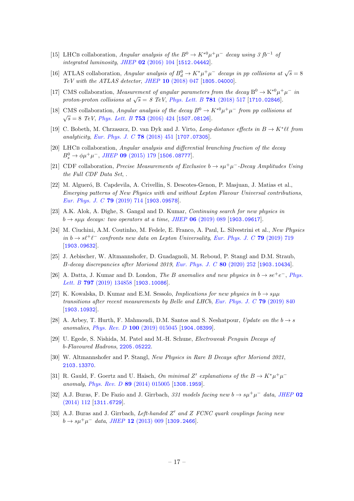- [15] LHCB collaboration, Angular analysis of the  $B^0 \to K^{*0} \mu^+ \mu^-$  decay using 3 fb<sup>-1</sup> of integrated luminosity, JHEP 02 [\(2016\) 104](https://doi.org/10.1007/JHEP02(2016)104) [[1512.04442](https://arxiv.org/abs/1512.04442)].
- [16] ATLAS collaboration, Angular analysis of  $B_d^0 \to K^* \mu^+ \mu^-$  decays in pp collisions at  $\sqrt{s} = 8$ TeV with the ATLAS detector, JHEP 10 [\(2018\) 047](https://doi.org/10.1007/JHEP10(2018)047) [[1805.04000](https://arxiv.org/abs/1805.04000)].
- [17] CMS collaboration, *Measurement of angular parameters from the decay*  $B^0 \to K^{*0} \mu^+ \mu^-$  in proton-proton collisions at  $\sqrt{s} = 8$  TeV, [Phys. Lett. B](https://doi.org/10.1016/j.physletb.2018.04.030) 781 (2018) 517 [[1710.02846](https://arxiv.org/abs/1710.02846)].
- [18] CMS collaboration, Angular analysis of the decay  $B^0 \to K^{*0} \mu^+ \mu^-$  from pp collisions at  $\sqrt{s} = 8$  TeV, [Phys. Lett. B](https://doi.org/10.1016/j.physletb.2015.12.020) 753 (2016) 424 [[1507.08126](https://arxiv.org/abs/1507.08126)].
- <span id="page-17-0"></span>[19] C. Bobeth, M. Chrzaszcz, D. van Dyk and J. Virto, Long-distance effects in  $B \to K^* \ell \ell$  from analyticity, [Eur. Phys. J. C](https://doi.org/10.1140/epjc/s10052-018-5918-6) 78 (2018) 451 [[1707.07305](https://arxiv.org/abs/1707.07305)].
- <span id="page-17-1"></span>[20] LHCB collaboration, Angular analysis and differential branching fraction of the decay  $B_s^0 \to \phi \mu^+ \mu^-$ , JHEP **09** [\(2015\) 179](https://doi.org/10.1007/JHEP09(2015)179) [[1506.08777](https://arxiv.org/abs/1506.08777)].
- <span id="page-17-2"></span>[21] CDF collaboration, Precise Measurements of Exclusive  $b \to s\mu^+\mu^-$ -Decay Amplitudes Using the Full CDF Data Set, .
- <span id="page-17-3"></span>[22] M. Algueró, B. Capdevila, A. Crivellin, S. Descotes-Genon, P. Masjuan, J. Matias et al., Emerging patterns of New Physics with and without Lepton Flavour Universal contributions, [Eur. Phys. J. C](https://doi.org/10.1140/epjc/s10052-019-7216-3) 79 (2019) 714 [[1903.09578](https://arxiv.org/abs/1903.09578)].
- [23] A.K. Alok, A. Dighe, S. Gangal and D. Kumar, Continuing search for new physics in  $b \rightarrow s\mu\mu$  decays: two operators at a time, JHEP 06 [\(2019\) 089](https://doi.org/10.1007/JHEP06(2019)089) [[1903.09617](https://arxiv.org/abs/1903.09617)].
- [24] M. Ciuchini, A.M. Coutinho, M. Fedele, E. Franco, A. Paul, L. Silvestrini et al., New Physics in  $b \to s\ell^+\ell^-$  confronts new data on Lepton Universality, [Eur. Phys. J. C](https://doi.org/10.1140/epjc/s10052-019-7210-9) 79 (2019) 719 [[1903.09632](https://arxiv.org/abs/1903.09632)].
- [25] J. Aebischer, W. Altmannshofer, D. Guadagnoli, M. Reboud, P. Stangl and D.M. Straub, B-decay discrepancies after Moriond 2019, [Eur. Phys. J. C](https://doi.org/10.1140/epjc/s10052-020-7817-x) 80 (2020) 252 [[1903.10434](https://arxiv.org/abs/1903.10434)].
- [26] A. Datta, J. Kumar and D. London, The B anomalies and new physics in  $b \rightarrow s e^+e^-$ , [Phys.](https://doi.org/10.1016/j.physletb.2019.134858) Lett. B 797 [\(2019\) 134858](https://doi.org/10.1016/j.physletb.2019.134858) [[1903.10086](https://arxiv.org/abs/1903.10086)].
- [27] K. Kowalska, D. Kumar and E.M. Sessolo, *Implications for new physics in b*  $\rightarrow s\mu\mu$ transitions after recent measurements by Belle and LHCb, [Eur. Phys. J. C](https://doi.org/10.1140/epjc/s10052-019-7330-2) 79 (2019) 840 [[1903.10932](https://arxiv.org/abs/1903.10932)].
- <span id="page-17-4"></span>[28] A. Arbey, T. Hurth, F. Mahmoudi, D.M. Santos and S. Neshatpour, Update on the  $b \rightarrow s$ anomalies, Phys. Rev. D 100 [\(2019\) 015045](https://doi.org/10.1103/PhysRevD.100.015045) [[1904.08399](https://arxiv.org/abs/1904.08399)].
- <span id="page-17-5"></span>[29] U. Egede, S. Nishida, M. Patel and M.-H. Schune, Electroweak Penguin Decays of b-Flavoured Hadrons, [2205.05222](https://arxiv.org/abs/2205.05222).
- <span id="page-17-6"></span>[30] W. Altmannshofer and P. Stangl, *New Physics in Rare B Decays after Moriond 2021*. [2103.13370](https://arxiv.org/abs/2103.13370).
- <span id="page-17-7"></span>[31] R. Gauld, F. Goertz and U. Haisch, On minimal Z' explanations of the  $B \to K^* \mu^+ \mu^$ anomaly, Phys. Rev. D 89 [\(2014\) 015005](https://doi.org/10.1103/PhysRevD.89.015005) [[1308.1959](https://arxiv.org/abs/1308.1959)].
- [32] A.J. Buras, F. De Fazio and J. Girrbach, 331 models facing new  $b \to s\mu^+\mu^-$  data, [JHEP](https://doi.org/10.1007/JHEP02(2014)112) 02 [\(2014\) 112](https://doi.org/10.1007/JHEP02(2014)112) [[1311.6729](https://arxiv.org/abs/1311.6729)].
- [33] A.J. Buras and J. Girrbach, Left-handed Z' and Z FCNC quark couplings facing new  $b \to s\mu^+\mu^-$  data, JHEP 12 [\(2013\) 009](https://doi.org/10.1007/JHEP12(2013)009) [[1309.2466](https://arxiv.org/abs/1309.2466)].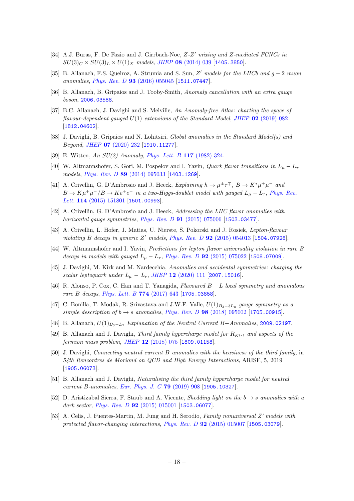- [34] A.J. Buras, F. De Fazio and J. Girrbach-Noe, Z-Z' mixing and Z-mediated FCNCs in  $SU(3)_C \times SU(3)_L \times U(1)_X$  models, JHEP 08 [\(2014\) 039](https://doi.org/10.1007/JHEP08(2014)039) [[1405.3850](https://arxiv.org/abs/1405.3850)].
- <span id="page-18-0"></span>[35] B. Allanach, F.S. Queiroz, A. Strumia and S. Sun, Z' models for the LHCb and  $g - 2$  muon anomalies, Phys. Rev. D 93 [\(2016\) 055045](https://doi.org/10.1103/PhysRevD.93.055045) [[1511.07447](https://arxiv.org/abs/1511.07447)].
- <span id="page-18-8"></span>[36] B. Allanach, B. Gripaios and J. Tooby-Smith, Anomaly cancellation with an extra gauge boson, [2006.03588](https://arxiv.org/abs/2006.03588).
- <span id="page-18-9"></span>[37] B.C. Allanach, J. Davighi and S. Melville, An Anomaly-free Atlas: charting the space of flavour-dependent gauged  $U(1)$  extensions of the Standard Model, JHEP 02 [\(2019\) 082](https://doi.org/10.1007/JHEP02(2019)082) [[1812.04602](https://arxiv.org/abs/1812.04602)].
- <span id="page-18-10"></span>[38] J. Davighi, B. Gripaios and N. Lohitsiri, Global anomalies in the Standard Model(s) and Beyond, JHEP 07 [\(2020\) 232](https://doi.org/10.1007/JHEP07(2020)232) [[1910.11277](https://arxiv.org/abs/1910.11277)].
- <span id="page-18-11"></span>[39] E. Witten, An SU(2) Anomaly, [Phys. Lett. B](https://doi.org/10.1016/0370-2693(82)90728-6) 117 (1982) 324.
- <span id="page-18-1"></span>[40] W. Altmannshofer, S. Gori, M. Pospelov and I. Yavin, *Quark flavor transitions in*  $L_u - L_{\tau}$ models, Phys. Rev. D 89 [\(2014\) 095033](https://doi.org/10.1103/PhysRevD.89.095033) [[1403.1269](https://arxiv.org/abs/1403.1269)].
- [41] A. Crivellin, G. D'Ambrosio and J. Heeck, Explaining  $h \to \mu^{\pm} \tau^{\mp}$ ,  $B \to K^* \mu^+ \mu^-$  and  $B \to K \mu^+ \mu^-/B \to K e^+ e^-$  in a two-Higgs-doublet model with gauged  $L_\mu - L_\tau$ , [Phys. Rev.](https://doi.org/10.1103/PhysRevLett.114.151801) Lett. **114** [\(2015\) 151801](https://doi.org/10.1103/PhysRevLett.114.151801) [[1501.00993](https://arxiv.org/abs/1501.00993)].
- [42] A. Crivellin, G. D'Ambrosio and J. Heeck, Addressing the LHC flavor anomalies with horizontal gauge symmetries, *Phys. Rev. D* **91** [\(2015\) 075006](https://doi.org/10.1103/PhysRevD.91.075006) [[1503.03477](https://arxiv.org/abs/1503.03477)].
- [43] A. Crivellin, L. Hofer, J. Matias, U. Nierste, S. Pokorski and J. Rosiek, Lepton-flavour violating  $B$  decays in generic  $Z'$  models, Phys. Rev.  $D$  92 [\(2015\) 054013](https://doi.org/10.1103/PhysRevD.92.054013) [[1504.07928](https://arxiv.org/abs/1504.07928)].
- [44] W. Altmannshofer and I. Yavin, Predictions for lepton flavor universality violation in rare B decays in models with gauged  $L_{\mu} - L_{\tau}$ , Phys. Rev. D **92** [\(2015\) 075022](https://doi.org/10.1103/PhysRevD.92.075022) [[1508.07009](https://arxiv.org/abs/1508.07009)].
- <span id="page-18-2"></span>[45] J. Davighi, M. Kirk and M. Nardecchia, Anomalies and accidental symmetries: charging the scalar leptoquark under  $L_{\mu} - L_{\tau}$ , JHEP 12 [\(2020\) 111](https://doi.org/10.1007/JHEP12(2020)111) [[2007.15016](https://arxiv.org/abs/2007.15016)].
- <span id="page-18-3"></span>[46] R. Alonso, P. Cox, C. Han and T. Yanagida, Flavoured  $B - L$  local symmetry and anomalous rare B decays, [Phys. Lett. B](https://doi.org/10.1016/j.physletb.2017.10.027) **774** (2017) 643 [[1705.03858](https://arxiv.org/abs/1705.03858)].
- [47] C. Bonilla, T. Modak, R. Srivastava and J.W.F. Valle,  $U(1)_{B_3-3L_\mu}$  gauge symmetry as a simple description of  $b \rightarrow s$  anomalies, Phys. Rev. D 98 [\(2018\) 095002](https://doi.org/10.1103/PhysRevD.98.095002) [[1705.00915](https://arxiv.org/abs/1705.00915)].
- <span id="page-18-4"></span>[48] B. Allanach,  $U(1)_{B_3-L_2}$  Explanation of the Neutral Current B−Anomalies, [2009.02197](https://arxiv.org/abs/2009.02197).
- <span id="page-18-5"></span>[49] B. Allanach and J. Davighi, Third family hypercharge model for  $R_{K^{(*)}}$  and aspects of the fermion mass problem, JHEP 12 [\(2018\) 075](https://doi.org/10.1007/JHEP12(2018)075) [[1809.01158](https://arxiv.org/abs/1809.01158)].
- [50] J. Davighi, Connecting neutral current B anomalies with the heaviness of the third family, in 54th Rencontres de Moriond on QCD and High Energy Interactions, ARISF, 5, 2019 [[1905.06073](https://arxiv.org/abs/1905.06073)].
- <span id="page-18-6"></span>[51] B. Allanach and J. Davighi, Naturalising the third family hypercharge model for neutral current B-anomalies, [Eur. Phys. J. C](https://doi.org/10.1140/epjc/s10052-019-7414-z) 79 (2019) 908 [[1905.10327](https://arxiv.org/abs/1905.10327)].
- <span id="page-18-7"></span>[52] D. Aristizabal Sierra, F. Staub and A. Vicente, *Shedding light on the b*  $\rightarrow s$  *anomalies with a* dark sector, Phys. Rev. D  $92$  [\(2015\) 015001](https://doi.org/10.1103/PhysRevD.92.015001) [[1503.06077](https://arxiv.org/abs/1503.06077)].
- [53] A. Celis, J. Fuentes-Martin, M. Jung and H. Serodio, Family nonuniversal Z' models with protected flavor-changing interactions, Phys. Rev. D **92** [\(2015\) 015007](https://doi.org/10.1103/PhysRevD.92.015007) [[1505.03079](https://arxiv.org/abs/1505.03079)].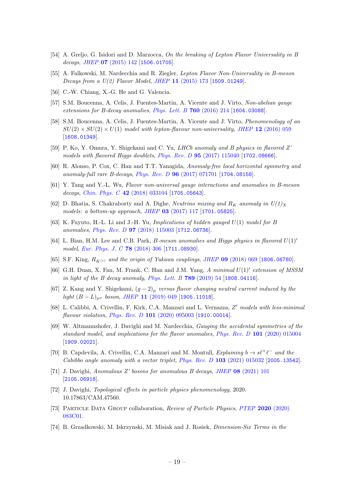- [54] A. Greljo, G. Isidori and D. Marzocca, On the breaking of Lepton Flavor Universality in B decays, JHEP **07** [\(2015\) 142](https://doi.org/10.1007/JHEP07(2015)142) [[1506.01705](https://arxiv.org/abs/1506.01705)].
- [55] A. Falkowski, M. Nardecchia and R. Ziegler, Lepton Flavor Non-Universality in B-meson Decays from a U(2) Flavor Model, JHEP 11 [\(2015\) 173](https://doi.org/10.1007/JHEP11(2015)173) [[1509.01249](https://arxiv.org/abs/1509.01249)].
- [56] C.-W. Chiang, X.-G. He and G. Valencia.
- [57] S.M. Boucenna, A. Celis, J. Fuentes-Martin, A. Vicente and J. Virto, Non-abelian gauge extensions for B-decay anomalies, [Phys. Lett. B](https://doi.org/10.1016/j.physletb.2016.06.067) 760 (2016) 214 [[1604.03088](https://arxiv.org/abs/1604.03088)].
- [58] S.M. Boucenna, A. Celis, J. Fuentes-Martin, A. Vicente and J. Virto, Phenomenology of an  $SU(2) \times SU(2) \times U(1)$  model with lepton-flavour non-universality, JHEP 12 [\(2016\) 059](https://doi.org/10.1007/JHEP12(2016)059) [[1608.01349](https://arxiv.org/abs/1608.01349)].
- [59] P. Ko, Y. Omura, Y. Shigekami and C. Yu, LHCb anomaly and B physics in flavored Z' models with flavored Higgs doublets, Phys. Rev.  $D$  **95** [\(2017\) 115040](https://doi.org/10.1103/PhysRevD.95.115040) [[1702.08666](https://arxiv.org/abs/1702.08666)].
- [60] R. Alonso, P. Cox, C. Han and T.T. Yanagida, Anomaly-free local horizontal symmetry and anomaly-full rare B-decays, Phys. Rev. D 96 [\(2017\) 071701](https://doi.org/10.1103/PhysRevD.96.071701) [[1704.08158](https://arxiv.org/abs/1704.08158)].
- [61] Y. Tang and Y.-L. Wu, Flavor non-universal gauge interactions and anomalies in B-meson decays, [Chin. Phys. C](https://doi.org/10.1088/1674-1137/42/3/033104) 42 (2018) 033104 [[1705.05643](https://arxiv.org/abs/1705.05643)].
- [62] D. Bhatia, S. Chakraborty and A. Dighe, *Neutrino mixing and R<sub>K</sub>* anomaly in  $U(1)_X$ models: a bottom-up approach, JHEP 03 [\(2017\) 117](https://doi.org/10.1007/JHEP03(2017)117) [[1701.05825](https://arxiv.org/abs/1701.05825)].
- [63] K. Fuyuto, H.-L. Li and J.-H. Yu, Implications of hidden gauged U(1) model for B anomalies, Phys. Rev. D 97 [\(2018\) 115003](https://doi.org/10.1103/PhysRevD.97.115003) [[1712.06736](https://arxiv.org/abs/1712.06736)].
- [64] L. Bian, H.M. Lee and C.B. Park, *B*-meson anomalies and Higgs physics in flavored  $U(1)$ <sup>'</sup> model, [Eur. Phys. J. C](https://doi.org/10.1140/epjc/s10052-018-5777-1) **78** (2018) 306 [[1711.08930](https://arxiv.org/abs/1711.08930)].
- [65] S.F. King,  $R_{K(*)}$  and the origin of Yukawa couplings, JHEP 09 [\(2018\) 069](https://doi.org/10.1007/JHEP09(2018)069) [[1806.06780](https://arxiv.org/abs/1806.06780)].
- [66] G.H. Duan, X. Fan, M. Frank, C. Han and J.M. Yang,  $A$  minimal  $U(1)^\prime$  extension of MSSM in light of the B decay anomaly, [Phys. Lett. B](https://doi.org/10.1016/j.physletb.2018.12.005)  $789$  (2019) 54 [[1808.04116](https://arxiv.org/abs/1808.04116)].
- [67] Z. Kang and Y. Shigekami,  $(g-2)_{\mu}$  versus flavor changing neutral current induced by the light  $(B - L)_{\mu\tau}$  boson, JHEP 11 [\(2019\) 049](https://doi.org/10.1007/JHEP11(2019)049) [[1905.11018](https://arxiv.org/abs/1905.11018)].
- [68] L. Calibbi, A. Crivellin, F. Kirk, C.A. Manzari and L. Vernazza, Z' models with less-minimal flavour violation, Phys. Rev. D 101 [\(2020\) 095003](https://doi.org/10.1103/PhysRevD.101.095003) [[1910.00014](https://arxiv.org/abs/1910.00014)].
- [69] W. Altmannshofer, J. Davighi and M. Nardecchia, Gauging the accidental symmetries of the standard model, and implications for the flavor anomalies, Phys. Rev. D 101 [\(2020\) 015004](https://doi.org/10.1103/PhysRevD.101.015004) [[1909.02021](https://arxiv.org/abs/1909.02021)].
- [70] B. Capdevila, A. Crivellin, C.A. Manzari and M. Montull, Explaining  $b \to s\ell^+\ell^-$  and the Cabibbo angle anomaly with a vector triplet, Phys. Rev. D 103 [\(2021\) 015032](https://doi.org/10.1103/PhysRevD.103.015032) [[2005.13542](https://arxiv.org/abs/2005.13542)].
- <span id="page-19-0"></span>[71] J. Davighi, Anomalous Z' bosons for anomalous B decays, JHEP 08 [\(2021\) 101](https://doi.org/10.1007/JHEP08(2021)101) [[2105.06918](https://arxiv.org/abs/2105.06918)].
- <span id="page-19-1"></span>[72] J. Davighi, Topological effects in particle physics phenomenology, 2020. 10.17863/CAM.47560.
- <span id="page-19-2"></span>[73] Particle Data Group collaboration, Review of Particle Physics, PTEP 2020 [\(2020\)](https://doi.org/10.1093/ptep/ptaa104) [083C01.](https://doi.org/10.1093/ptep/ptaa104)
- <span id="page-19-3"></span>[74] B. Grzadkowski, M. Iskrzynski, M. Misiak and J. Rosiek, Dimension-Six Terms in the